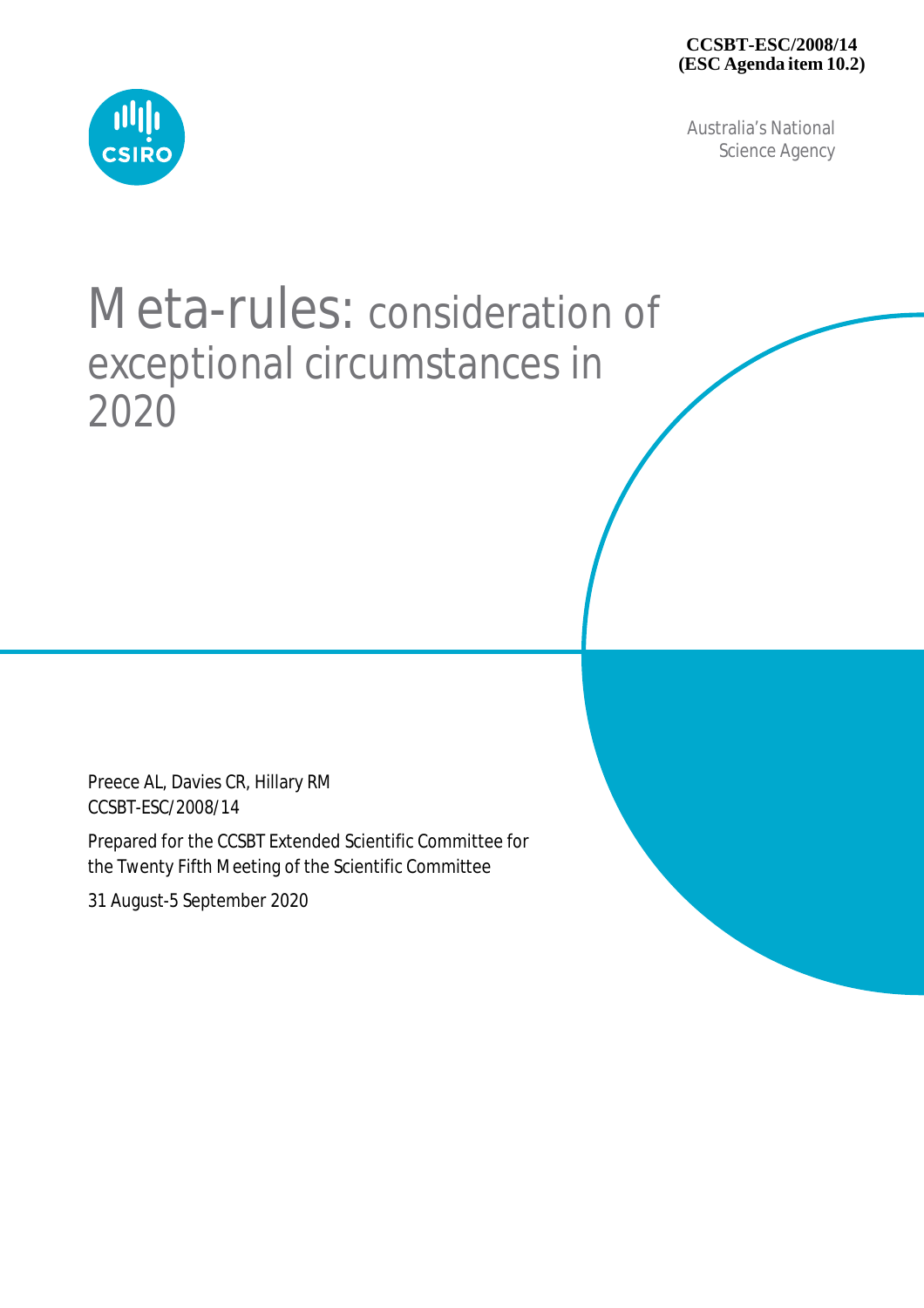Australia's National Science Agency



# Meta-rules: consideration of exceptional circumstances in 2020

Preece AL, Davies CR, Hillary RM CCSBT-ESC/2008/14

Prepared for the CCSBT Extended Scientific Committee for the Twenty Fifth Meeting of the Scientific Committee

31 August-5 September 2020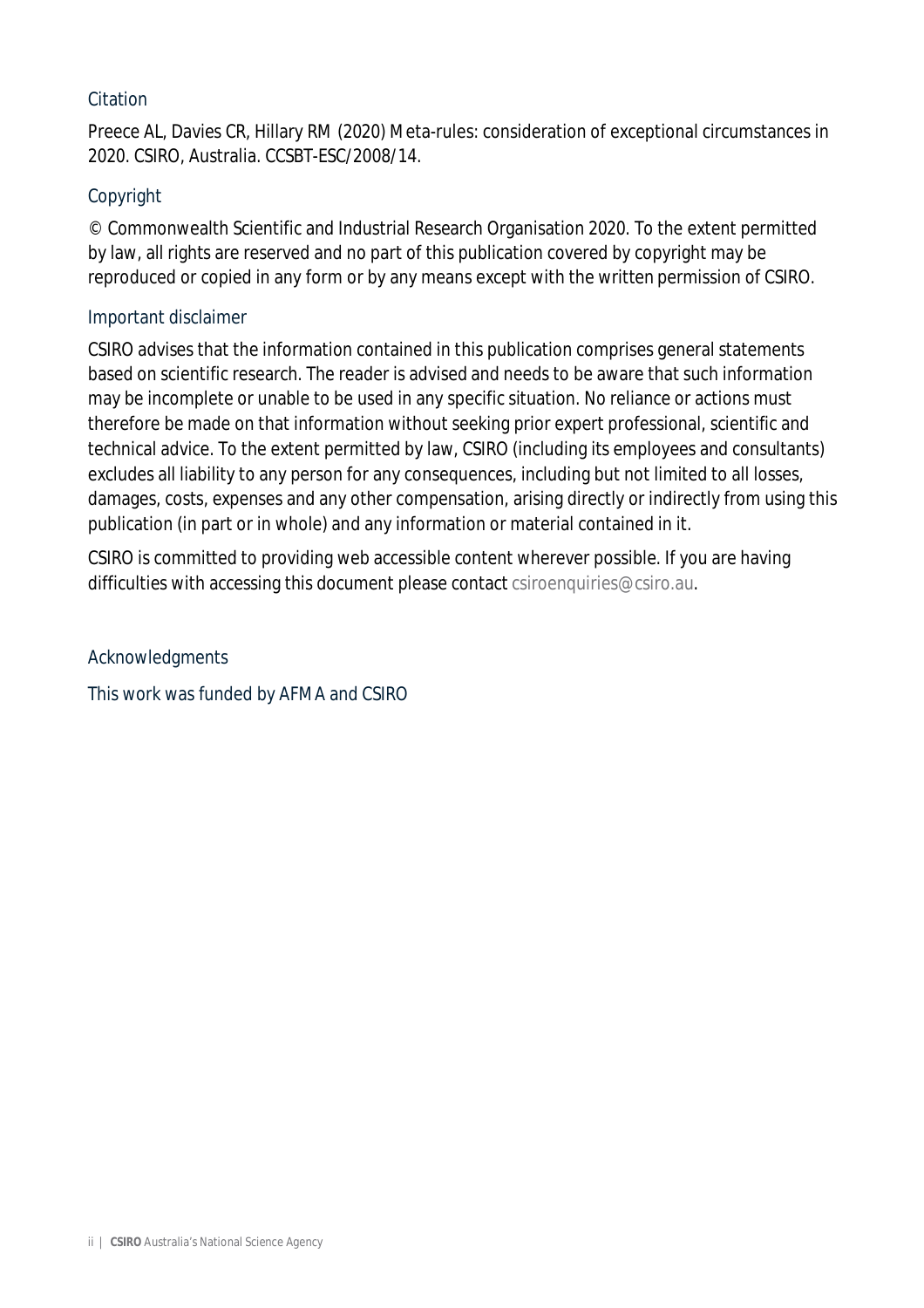#### **Citation**

Preece AL, Davies CR, Hillary RM (2020) Meta-rules: consideration of exceptional circumstances in 2020. CSIRO, Australia. CCSBT-ESC/2008/14.

#### Copyright

© Commonwealth Scientific and Industrial Research Organisation 2020. To the extent permitted by law, all rights are reserved and no part of this publication covered by copyright may be reproduced or copied in any form or by any means except with the written permission of CSIRO.

#### Important disclaimer

CSIRO advises that the information contained in this publication comprises general statements based on scientific research. The reader is advised and needs to be aware that such information may be incomplete or unable to be used in any specific situation. No reliance or actions must therefore be made on that information without seeking prior expert professional, scientific and technical advice. To the extent permitted by law, CSIRO (including its employees and consultants) excludes all liability to any person for any consequences, including but not limited to all losses, damages, costs, expenses and any other compensation, arising directly or indirectly from using this publication (in part or in whole) and any information or material contained in it.

CSIRO is committed to providing web accessible content wherever possible. If you are having difficulties with accessing this document please contact [csiroenquiries@csiro.au.](mailto:csiroenquiries@csiro.au.)

Acknowledgments

This work was funded by AFMA and CSIRO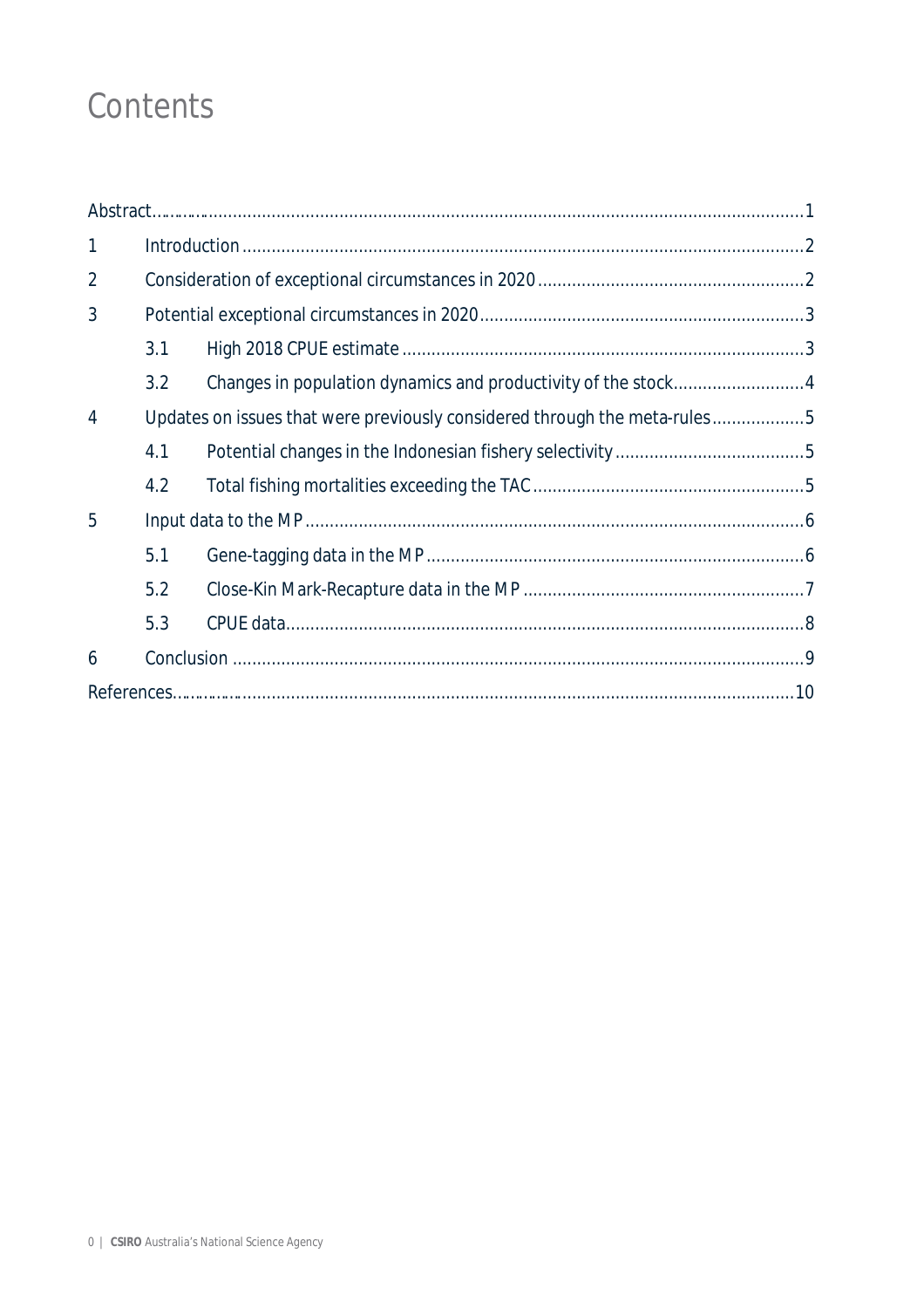## Contents

| $\mathbf{1}$   |                                                                           |  |  |
|----------------|---------------------------------------------------------------------------|--|--|
| 2              |                                                                           |  |  |
| 3              |                                                                           |  |  |
|                | 3.1                                                                       |  |  |
|                | 3.2                                                                       |  |  |
| $\overline{4}$ | Updates on issues that were previously considered through the meta-rules5 |  |  |
|                | 4.1                                                                       |  |  |
|                | 4.2                                                                       |  |  |
| 5              |                                                                           |  |  |
|                | 5.1                                                                       |  |  |
|                | 5.2                                                                       |  |  |
|                | 5.3                                                                       |  |  |
| 6              |                                                                           |  |  |
|                |                                                                           |  |  |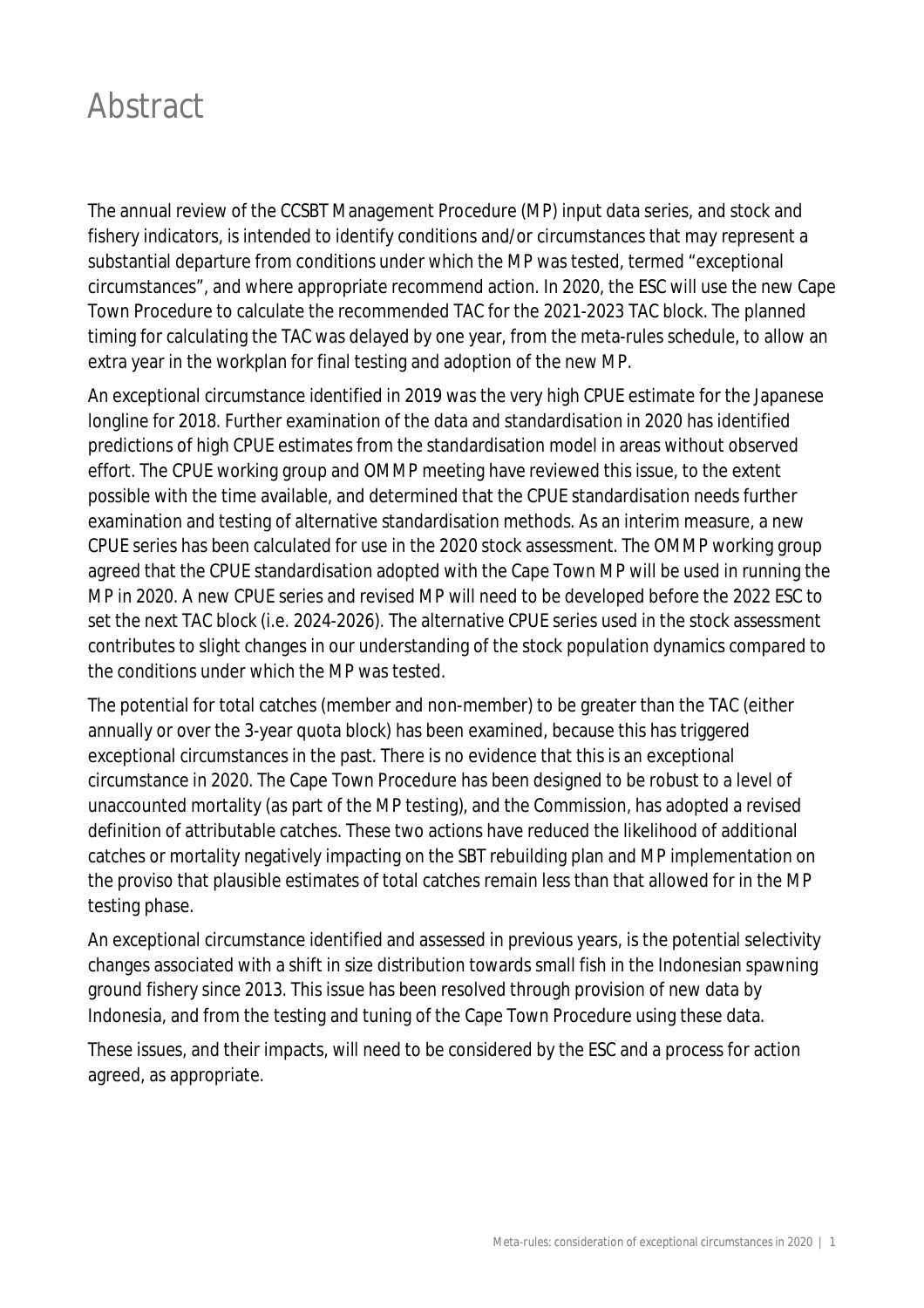## Abstract

The annual review of the CCSBT Management Procedure (MP) input data series, and stock and fishery indicators, is intended to identify conditions and/or circumstances that may represent a substantial departure from conditions under which the MP was tested, termed "exceptional circumstances", and where appropriate recommend action. In 2020, the ESC will use the new Cape Town Procedure to calculate the recommended TAC for the 2021-2023 TAC block. The planned timing for calculating the TAC was delayed by one year, from the meta-rules schedule, to allow an extra year in the workplan for final testing and adoption of the new MP.

An exceptional circumstance identified in 2019 was the very high CPUE estimate for the Japanese longline for 2018. Further examination of the data and standardisation in 2020 has identified predictions of high CPUE estimates from the standardisation model in areas without observed effort. The CPUE working group and OMMP meeting have reviewed this issue, to the extent possible with the time available, and determined that the CPUE standardisation needs further examination and testing of alternative standardisation methods. As an interim measure, a new CPUE series has been calculated for use in the 2020 stock assessment. The OMMP working group agreed that the CPUE standardisation adopted with the Cape Town MP will be used in running the MP in 2020. A new CPUE series and revised MP will need to be developed before the 2022 ESC to set the next TAC block (i.e. 2024-2026). The alternative CPUE series used in the stock assessment contributes to slight changes in our understanding of the stock population dynamics compared to the conditions under which the MP was tested.

The potential for total catches (member and non-member) to be greater than the TAC (either annually or over the 3-year quota block) has been examined, because this has triggered exceptional circumstances in the past. There is no evidence that this is an exceptional circumstance in 2020. The Cape Town Procedure has been designed to be robust to a level of unaccounted mortality (as part of the MP testing), and the Commission, has adopted a revised definition of attributable catches. These two actions have reduced the likelihood of additional catches or mortality negatively impacting on the SBT rebuilding plan and MP implementation on the proviso that plausible estimates of total catches remain less than that allowed for in the MP testing phase.

An exceptional circumstance identified and assessed in previous years, is the potential selectivity changes associated with a shift in size distribution towards small fish in the Indonesian spawning ground fishery since 2013. This issue has been resolved through provision of new data by Indonesia, and from the testing and tuning of the Cape Town Procedure using these data.

These issues, and their impacts, will need to be considered by the ESC and a process for action agreed, as appropriate.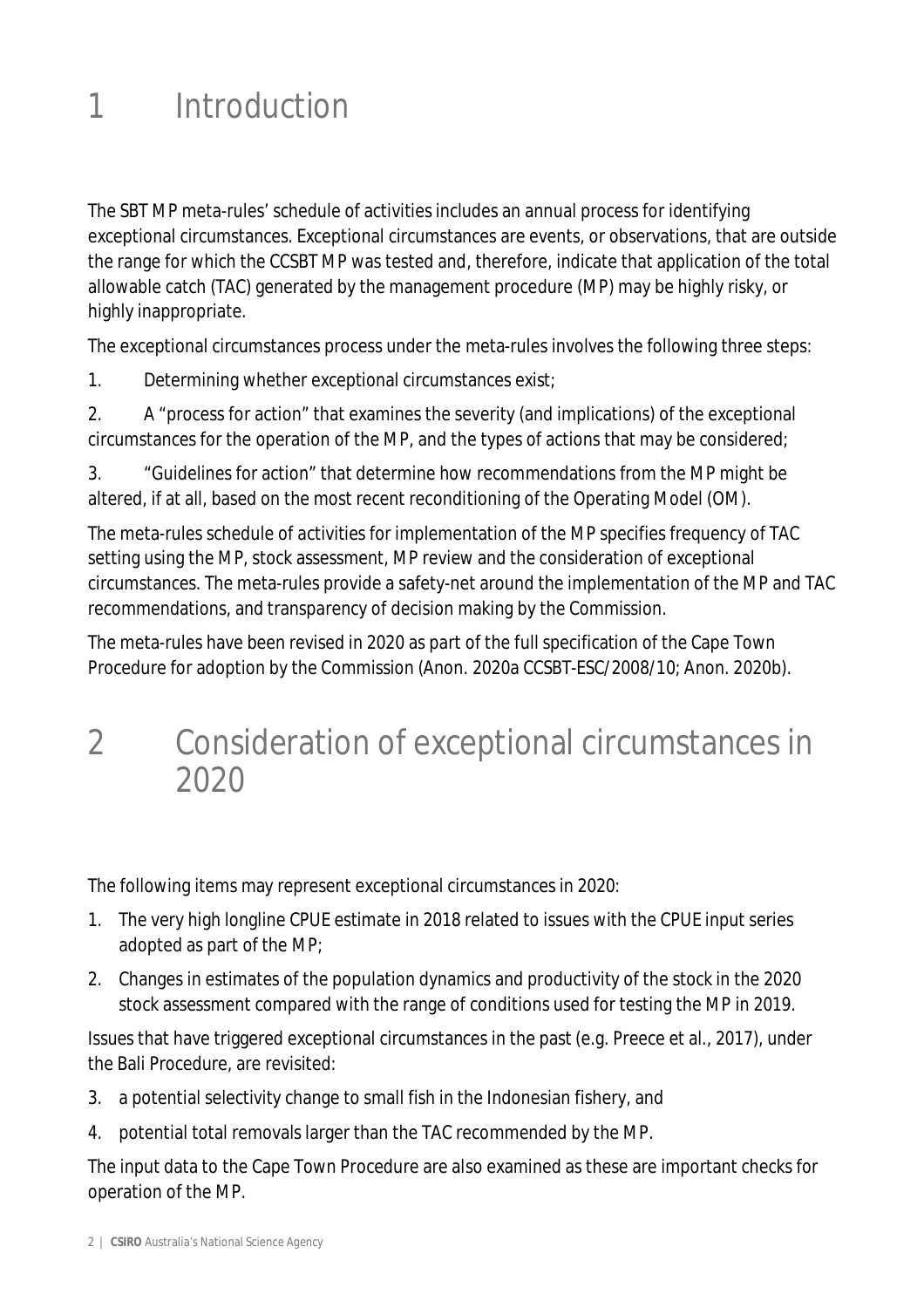## 1 Introduction

The SBT MP meta-rules' schedule of activities includes an annual process for identifying exceptional circumstances. Exceptional circumstances are events, or observations, that are outside the range for which the CCSBT MP was tested and, therefore, indicate that application of the total allowable catch (TAC) generated by the management procedure (MP) may be highly risky, or highly inappropriate.

The exceptional circumstances process under the meta-rules involves the following three steps:

1. Determining whether exceptional circumstances exist;

2. A "process for action" that examines the severity (and implications) of the exceptional circumstances for the operation of the MP, and the types of actions that may be considered;

3. "Guidelines for action" that determine how recommendations from the MP might be altered, if at all, based on the most recent reconditioning of the Operating Model (OM).

The meta-rules schedule of activities for implementation of the MP specifies frequency of TAC setting using the MP, stock assessment, MP review and the consideration of exceptional circumstances. The meta-rules provide a safety-net around the implementation of the MP and TAC recommendations, and transparency of decision making by the Commission.

The meta-rules have been revised in 2020 as part of the full specification of the Cape Town Procedure for adoption by the Commission (Anon. 2020a CCSBT-ESC/2008/10; Anon. 2020b).

### 2 Consideration of exceptional circumstances in 2020

The following items may represent exceptional circumstances in 2020:

- 1. The very high longline CPUE estimate in 2018 related to issues with the CPUE input series adopted as part of the MP;
- 2. Changes in estimates of the population dynamics and productivity of the stock in the 2020 stock assessment compared with the range of conditions used for testing the MP in 2019.

Issues that have triggered exceptional circumstances in the past (e.g. Preece et al., 2017), under the Bali Procedure, are revisited:

- 3. a potential selectivity change to small fish in the Indonesian fishery, and
- 4. potential total removals larger than the TAC recommended by the MP.

The input data to the Cape Town Procedure are also examined as these are important checks for operation of the MP.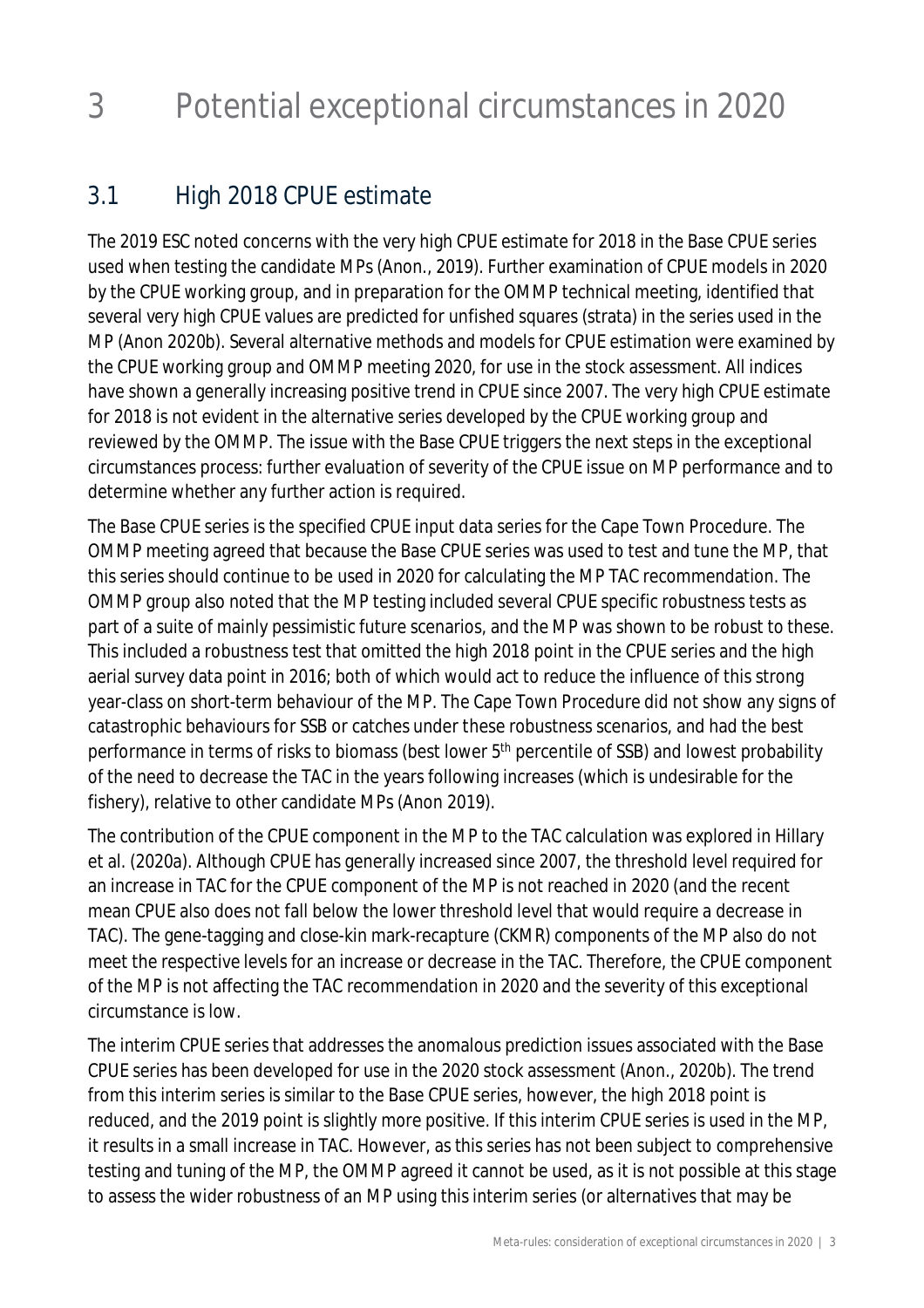## 3 Potential exceptional circumstances in 2020

### 3.1 High 2018 CPUE estimate

The 2019 ESC noted concerns with the very high CPUE estimate for 2018 in the Base CPUE series used when testing the candidate MPs (Anon., 2019). Further examination of CPUE models in 2020 by the CPUE working group, and in preparation for the OMMP technical meeting, identified that several very high CPUE values are predicted for unfished squares (strata) in the series used in the MP (Anon 2020b). Several alternative methods and models for CPUE estimation were examined by the CPUE working group and OMMP meeting 2020, for use in the stock assessment. All indices have shown a generally increasing positive trend in CPUE since 2007. The very high CPUE estimate for 2018 is not evident in the alternative series developed by the CPUE working group and reviewed by the OMMP. The issue with the Base CPUE triggers the next steps in the exceptional circumstances process: further evaluation of severity of the CPUE issue on MP performance and to determine whether any further action is required.

The Base CPUE series is the specified CPUE input data series for the Cape Town Procedure. The OMMP meeting agreed that because the Base CPUE series was used to test and tune the MP, that this series should continue to be used in 2020 for calculating the MP TAC recommendation. The OMMP group also noted that the MP testing included several CPUE specific robustness tests as part of a suite of mainly pessimistic future scenarios, and the MP was shown to be robust to these. This included a robustness test that omitted the high 2018 point in the CPUE series and the high aerial survey data point in 2016; both of which would act to reduce the influence of this strong year-class on short-term behaviour of the MP. The Cape Town Procedure did not show any signs of catastrophic behaviours for SSB or catches under these robustness scenarios, and had the best performance in terms of risks to biomass (best lower 5<sup>th</sup> percentile of SSB) and lowest probability of the need to decrease the TAC in the years following increases (which is undesirable for the fishery), relative to other candidate MPs (Anon 2019).

The contribution of the CPUE component in the MP to the TAC calculation was explored in Hillary et al. (2020a). Although CPUE has generally increased since 2007, the threshold level required for an increase in TAC for the CPUE component of the MP is not reached in 2020 (and the recent mean CPUE also does not fall below the lower threshold level that would require a decrease in TAC). The gene-tagging and close-kin mark-recapture (CKMR) components of the MP also do not meet the respective levels for an increase or decrease in the TAC. Therefore, the CPUE component of the MP is not affecting the TAC recommendation in 2020 and the severity of this exceptional circumstance is low.

The interim CPUE series that addresses the anomalous prediction issues associated with the Base CPUE series has been developed for use in the 2020 stock assessment (Anon., 2020b). The trend from this interim series is similar to the Base CPUE series, however, the high 2018 point is reduced, and the 2019 point is slightly more positive. If this interim CPUE series is used in the MP, it results in a small increase in TAC. However, as this series has not been subject to comprehensive testing and tuning of the MP, the OMMP agreed it cannot be used, as it is not possible at this stage to assess the wider robustness of an MP using this interim series (or alternatives that may be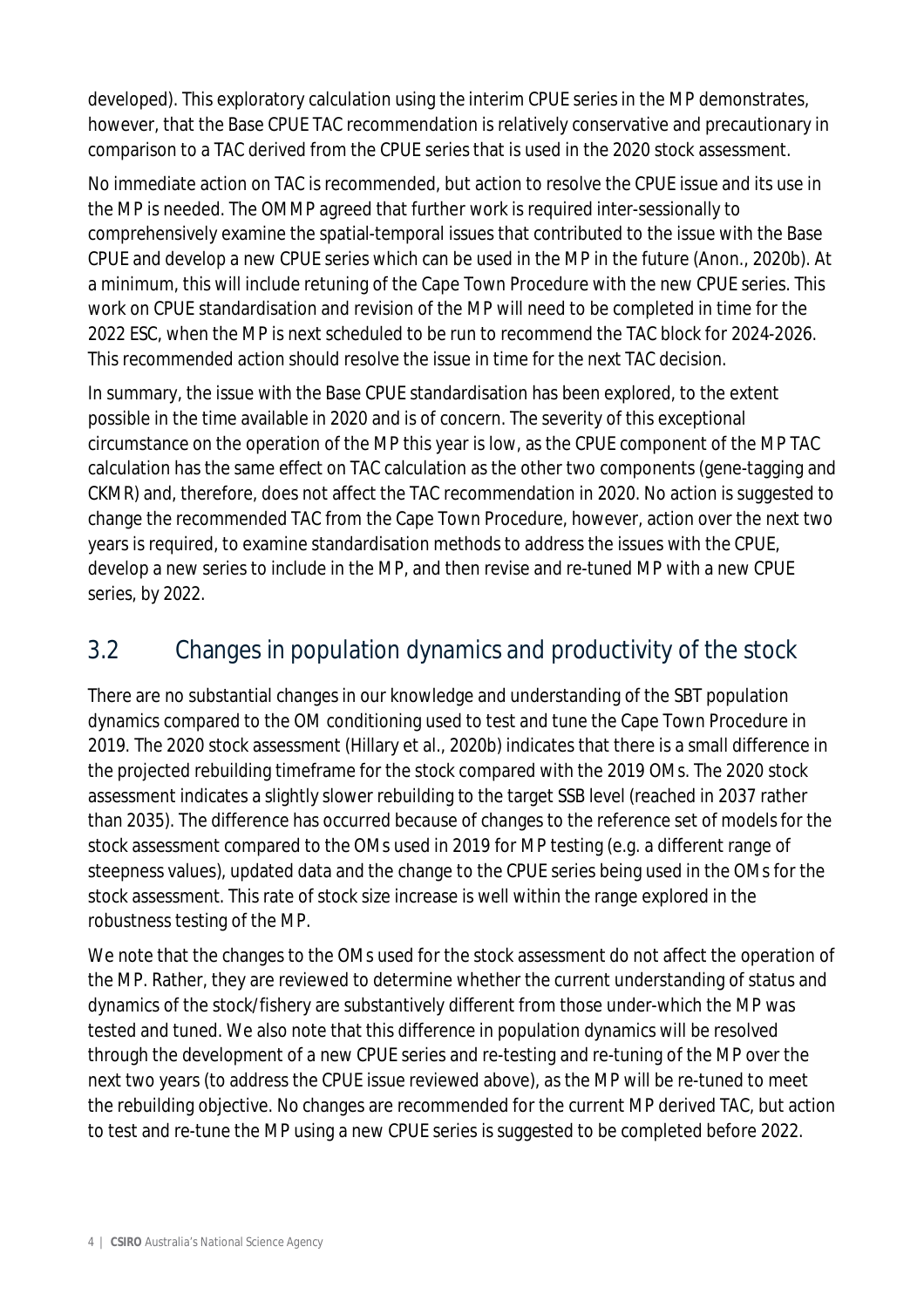developed). This exploratory calculation using the interim CPUE series in the MP demonstrates, however, that the Base CPUE TAC recommendation is relatively conservative and precautionary in comparison to a TAC derived from the CPUE series that is used in the 2020 stock assessment.

No immediate action on TAC is recommended, but action to resolve the CPUE issue and its use in the MP is needed. The OMMP agreed that further work is required inter-sessionally to comprehensively examine the spatial-temporal issues that contributed to the issue with the Base CPUE and develop a new CPUE series which can be used in the MP in the future (Anon., 2020b). At a minimum, this will include retuning of the Cape Town Procedure with the new CPUE series. This work on CPUE standardisation and revision of the MP will need to be completed in time for the 2022 ESC, when the MP is next scheduled to be run to recommend the TAC block for 2024-2026. This recommended action should resolve the issue in time for the next TAC decision.

In summary, the issue with the Base CPUE standardisation has been explored, to the extent possible in the time available in 2020 and is of concern. The severity of this exceptional circumstance on the operation of the MP this year is low, as the CPUE component of the MP TAC calculation has the same effect on TAC calculation as the other two components (gene-tagging and CKMR) and, therefore, does not affect the TAC recommendation in 2020. No action is suggested to change the recommended TAC from the Cape Town Procedure, however, action over the next two years is required, to examine standardisation methods to address the issues with the CPUE, develop a new series to include in the MP, and then revise and re-tuned MP with a new CPUE series, by 2022.

### 3.2 Changes in population dynamics and productivity of the stock

There are no substantial changes in our knowledge and understanding of the SBT population dynamics compared to the OM conditioning used to test and tune the Cape Town Procedure in 2019. The 2020 stock assessment (Hillary et al., 2020b) indicates that there is a small difference in the projected rebuilding timeframe for the stock compared with the 2019 OMs. The 2020 stock assessment indicates a slightly slower rebuilding to the target SSB level (reached in 2037 rather than 2035). The difference has occurred because of changes to the reference set of models for the stock assessment compared to the OMs used in 2019 for MP testing (e.g. a different range of steepness values), updated data and the change to the CPUE series being used in the OMs for the stock assessment. This rate of stock size increase is well within the range explored in the robustness testing of the MP.

We note that the changes to the OMs used for the stock assessment do not affect the operation of the MP. Rather, they are reviewed to determine whether the current understanding of status and dynamics of the stock/fishery are substantively different from those under-which the MP was tested and tuned. We also note that this difference in population dynamics will be resolved through the development of a new CPUE series and re-testing and re-tuning of the MP over the next two years (to address the CPUE issue reviewed above), as the MP will be re-tuned to meet the rebuilding objective. No changes are recommended for the current MP derived TAC, but action to test and re-tune the MP using a new CPUE series is suggested to be completed before 2022.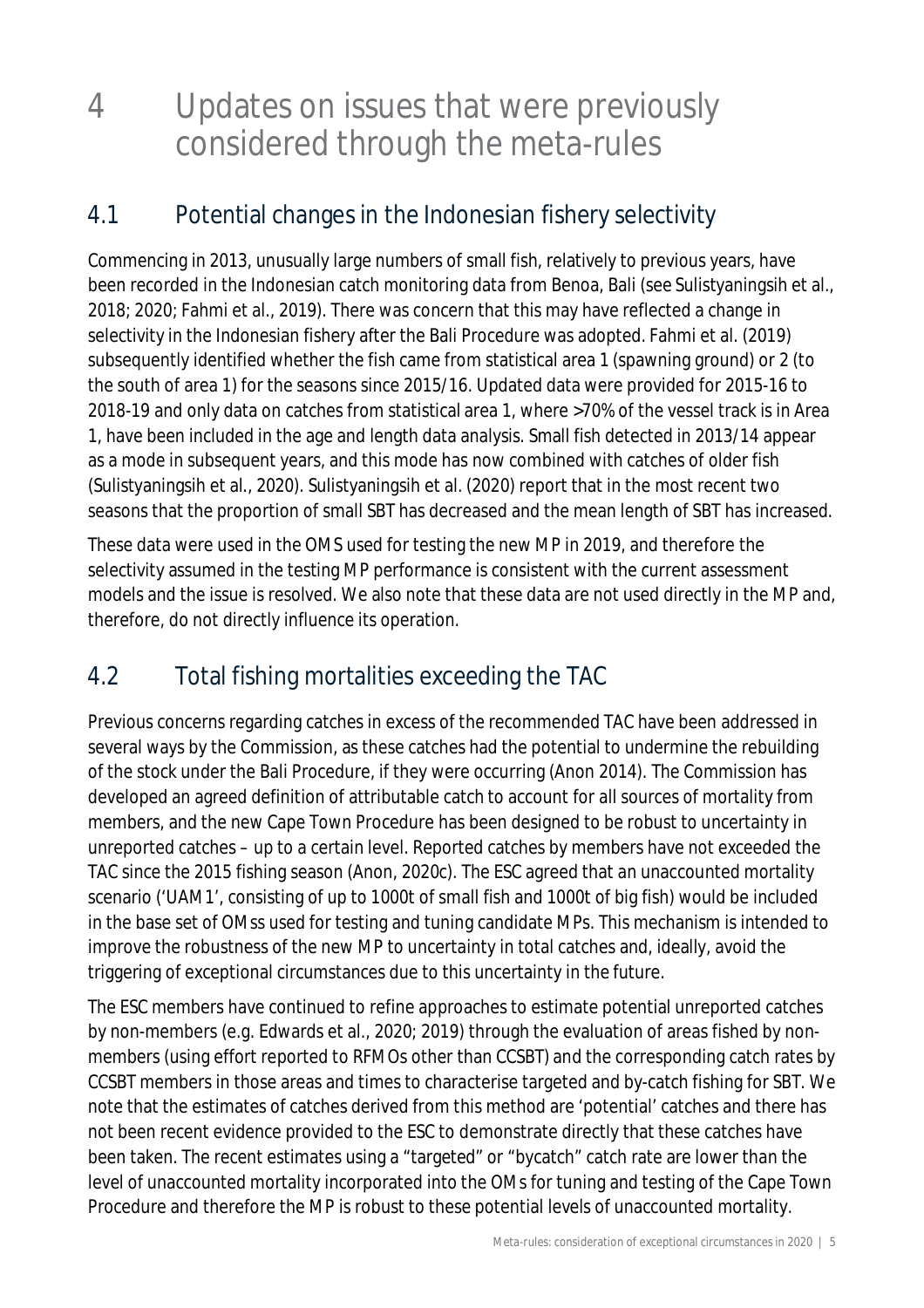### 4 Updates on issues that were previously considered through the meta-rules

### 4.1 Potential changes in the Indonesian fishery selectivity

Commencing in 2013, unusually large numbers of small fish, relatively to previous years, have been recorded in the Indonesian catch monitoring data from Benoa, Bali (see Sulistyaningsih et al., 2018; 2020; Fahmi et al., 2019). There was concern that this may have reflected a change in selectivity in the Indonesian fishery after the Bali Procedure was adopted. Fahmi et al. (2019) subsequently identified whether the fish came from statistical area 1 (spawning ground) or 2 (to the south of area 1) for the seasons since 2015/16. Updated data were provided for 2015-16 to 2018-19 and only data on catches from statistical area 1, where >70% of the vessel track is in Area 1, have been included in the age and length data analysis. Small fish detected in 2013/14 appear as a mode in subsequent years, and this mode has now combined with catches of older fish (Sulistyaningsih et al., 2020). Sulistyaningsih et al. (2020) report that in the most recent two seasons that the proportion of small SBT has decreased and the mean length of SBT has increased.

These data were used in the OMS used for testing the new MP in 2019, and therefore the selectivity assumed in the testing MP performance is consistent with the current assessment models and the issue is resolved. We also note that these data are not used directly in the MP and, therefore, do not directly influence its operation.

### 4.2 Total fishing mortalities exceeding the TAC

Previous concerns regarding catches in excess of the recommended TAC have been addressed in several ways by the Commission, as these catches had the potential to undermine the rebuilding of the stock under the Bali Procedure, if they were occurring (Anon 2014). The Commission has developed an agreed definition of attributable catch to account for all sources of mortality from members, and the new Cape Town Procedure has been designed to be robust to uncertainty in unreported catches – up to a certain level. Reported catches by members have not exceeded the TAC since the 2015 fishing season (Anon, 2020c). The ESC agreed that an unaccounted mortality scenario ('UAM1', consisting of up to 1000t of small fish and 1000t of big fish) would be included in the base set of OMss used for testing and tuning candidate MPs. This mechanism is intended to improve the robustness of the new MP to uncertainty in total catches and, ideally, avoid the triggering of exceptional circumstances due to this uncertainty in the future.

The ESC members have continued to refine approaches to estimate potential unreported catches by non-members (e.g. Edwards et al., 2020; 2019) through the evaluation of areas fished by nonmembers (using effort reported to RFMOs other than CCSBT) and the corresponding catch rates by CCSBT members in those areas and times to characterise targeted and by-catch fishing for SBT. We note that the estimates of catches derived from this method are 'potential' catches and there has not been recent evidence provided to the ESC to demonstrate directly that these catches have been taken. The recent estimates using a "targeted" or "bycatch" catch rate are lower than the level of unaccounted mortality incorporated into the OMs for tuning and testing of the Cape Town Procedure and therefore the MP is robust to these potential levels of unaccounted mortality.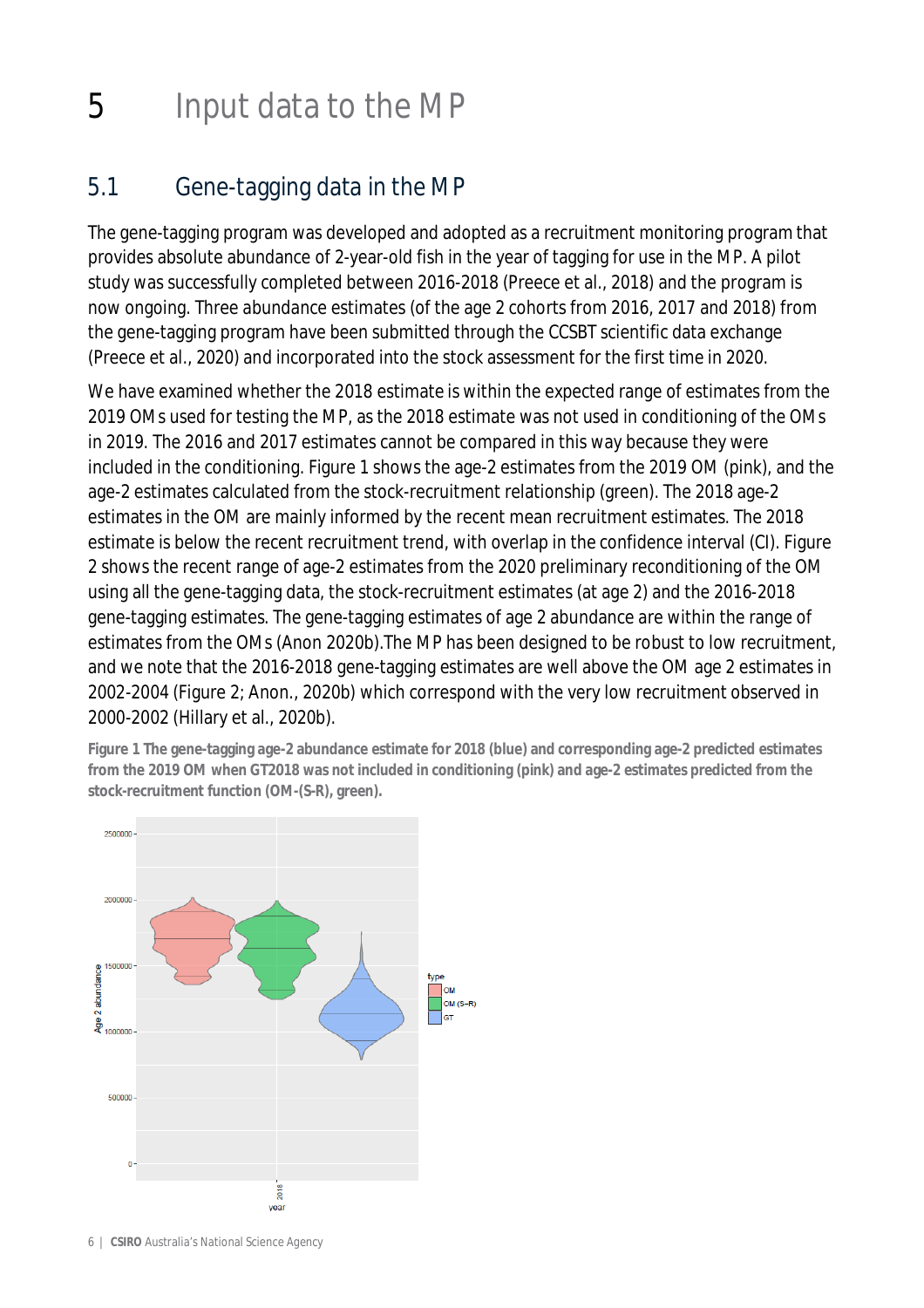## 5 Input data to the MP

### 5.1 Gene-tagging data in the MP

The gene-tagging program was developed and adopted as a recruitment monitoring program that provides absolute abundance of 2-year-old fish in the year of tagging for use in the MP. A pilot study was successfully completed between 2016-2018 (Preece et al., 2018) and the program is now ongoing. Three abundance estimates (of the age 2 cohorts from 2016, 2017 and 2018) from the gene-tagging program have been submitted through the CCSBT scientific data exchange (Preece et al., 2020) and incorporated into the stock assessment for the first time in 2020.

We have examined whether the 2018 estimate is within the expected range of estimates from the 2019 OMs used for testing the MP, as the 2018 estimate was not used in conditioning of the OMs in 2019. The 2016 and 2017 estimates cannot be compared in this way because they were included in the conditioning. Figure 1 shows the age-2 estimates from the 2019 OM (pink), and the age-2 estimates calculated from the stock-recruitment relationship (green). The 2018 age-2 estimates in the OM are mainly informed by the recent mean recruitment estimates. The 2018 estimate is below the recent recruitment trend, with overlap in the confidence interval (CI). Figure 2 shows the recent range of age-2 estimates from the 2020 preliminary reconditioning of the OM using all the gene-tagging data, the stock-recruitment estimates (at age 2) and the 2016-2018 gene-tagging estimates. The gene-tagging estimates of age 2 abundance are within the range of estimates from the OMs (Anon 2020b).The MP has been designed to be robust to low recruitment, and we note that the 2016-2018 gene-tagging estimates are well above the OM age 2 estimates in 2002-2004 (Figure 2; Anon., 2020b) which correspond with the very low recruitment observed in 2000-2002 (Hillary et al., 2020b).

**Figure 1 The gene-tagging age-2 abundance estimate for 2018 (blue) and corresponding age-2 predicted estimates from the 2019 OM when GT2018 was not included in conditioning (pink) and age-2 estimates predicted from the stock-recruitment function (OM-(S-R), green).**

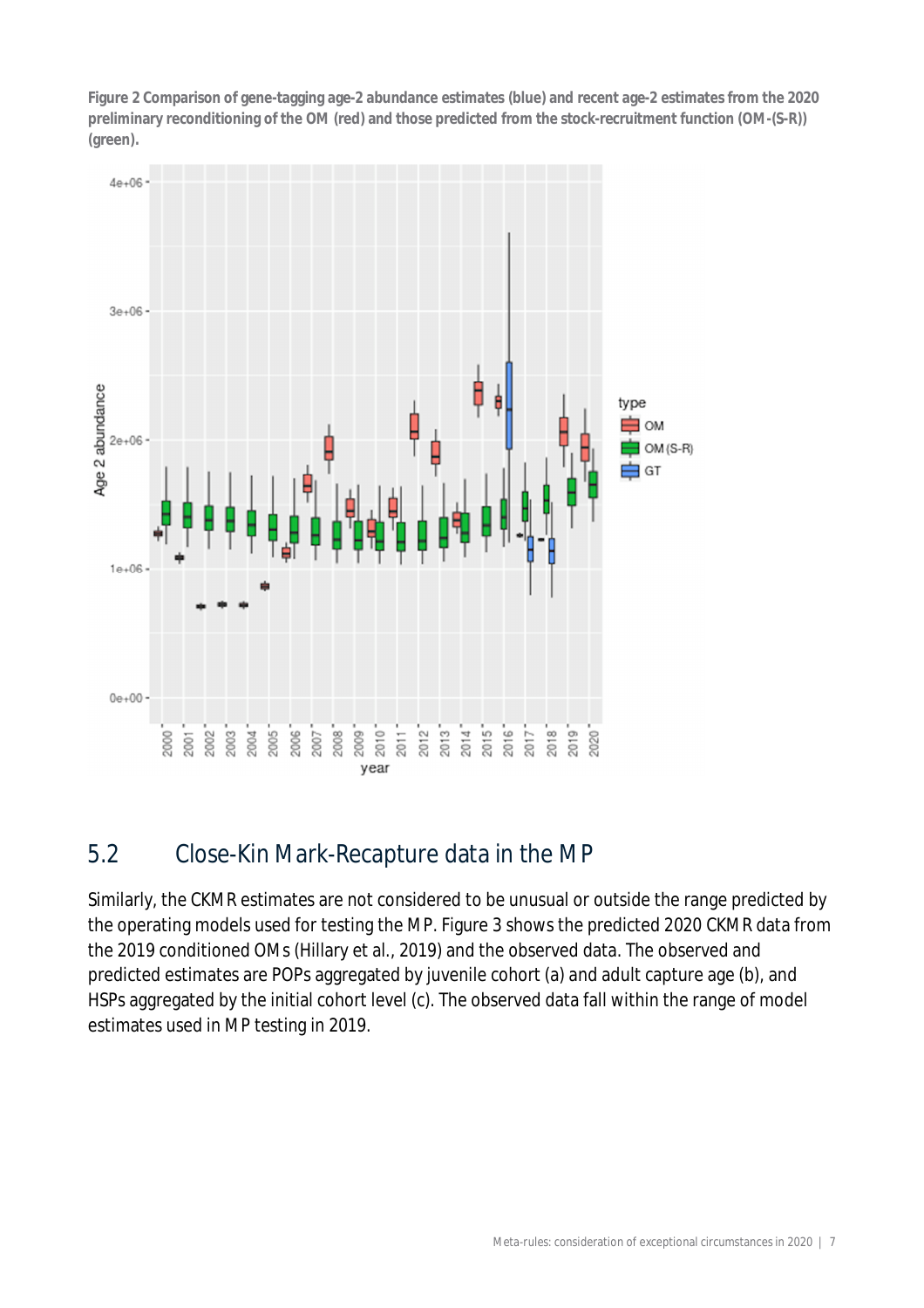**Figure 2 Comparison of gene-tagging age-2 abundance estimates (blue) and recent age-2 estimates from the 2020 preliminary reconditioning of the OM (red) and those predicted from the stock-recruitment function (OM-(S-R)) (green).**



### 5.2 Close-Kin Mark-Recapture data in the MP

Similarly, the CKMR estimates are not considered to be unusual or outside the range predicted by the operating models used for testing the MP. Figure 3 shows the predicted 2020 CKMR data from the 2019 conditioned OMs (Hillary et al., 2019) and the observed data. The observed and predicted estimates are POPs aggregated by juvenile cohort (a) and adult capture age (b), and HSPs aggregated by the initial cohort level (c). The observed data fall within the range of model estimates used in MP testing in 2019.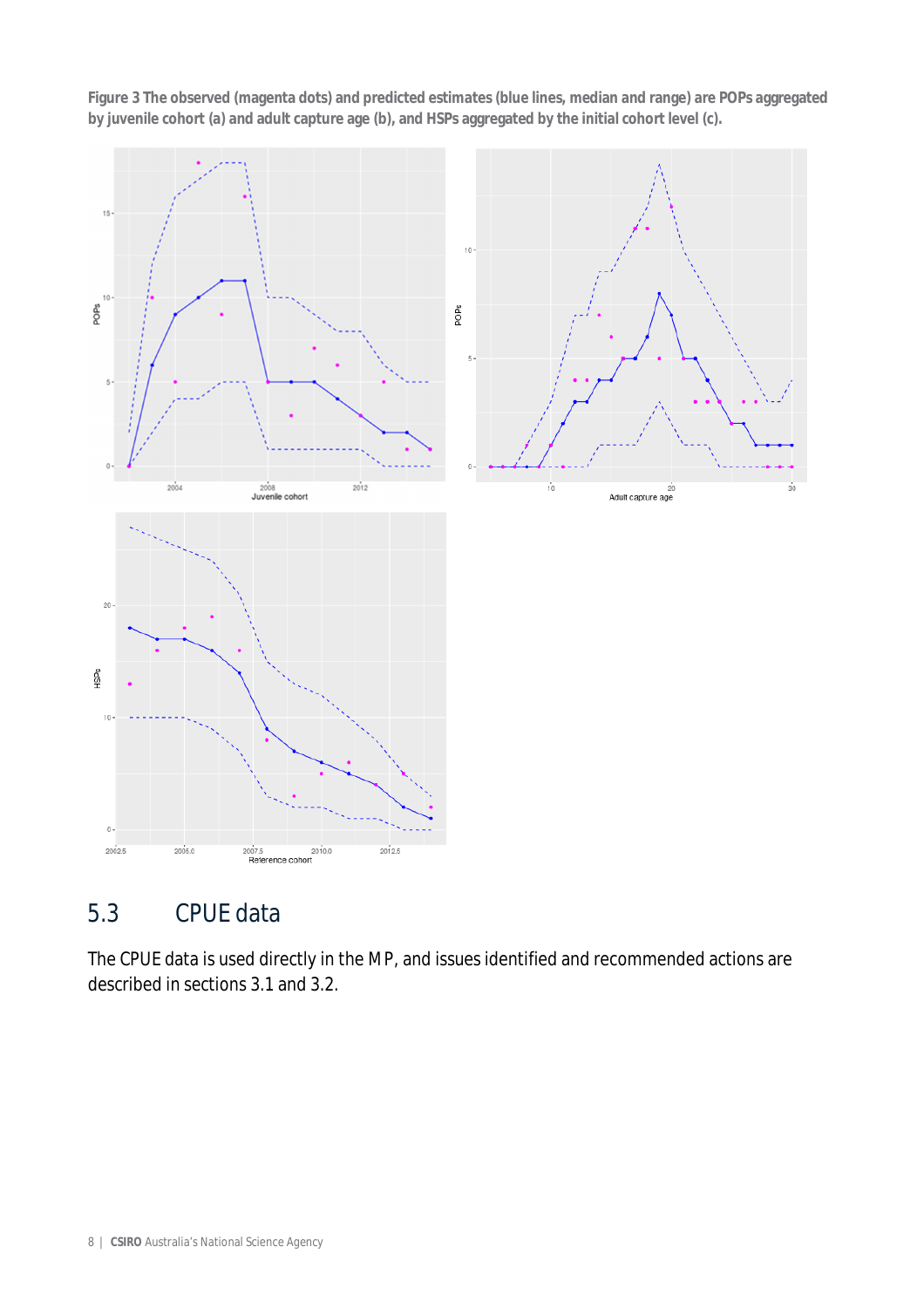**Figure 3 The observed (magenta dots) and predicted estimates (blue lines, median and range) are POPs aggregated by juvenile cohort (a) and adult capture age (b), and HSPs aggregated by the initial cohort level (c).**



### 5.3 CPUE data

The CPUE data is used directly in the MP, and issues identified and recommended actions are described in sections 3.1 and 3.2.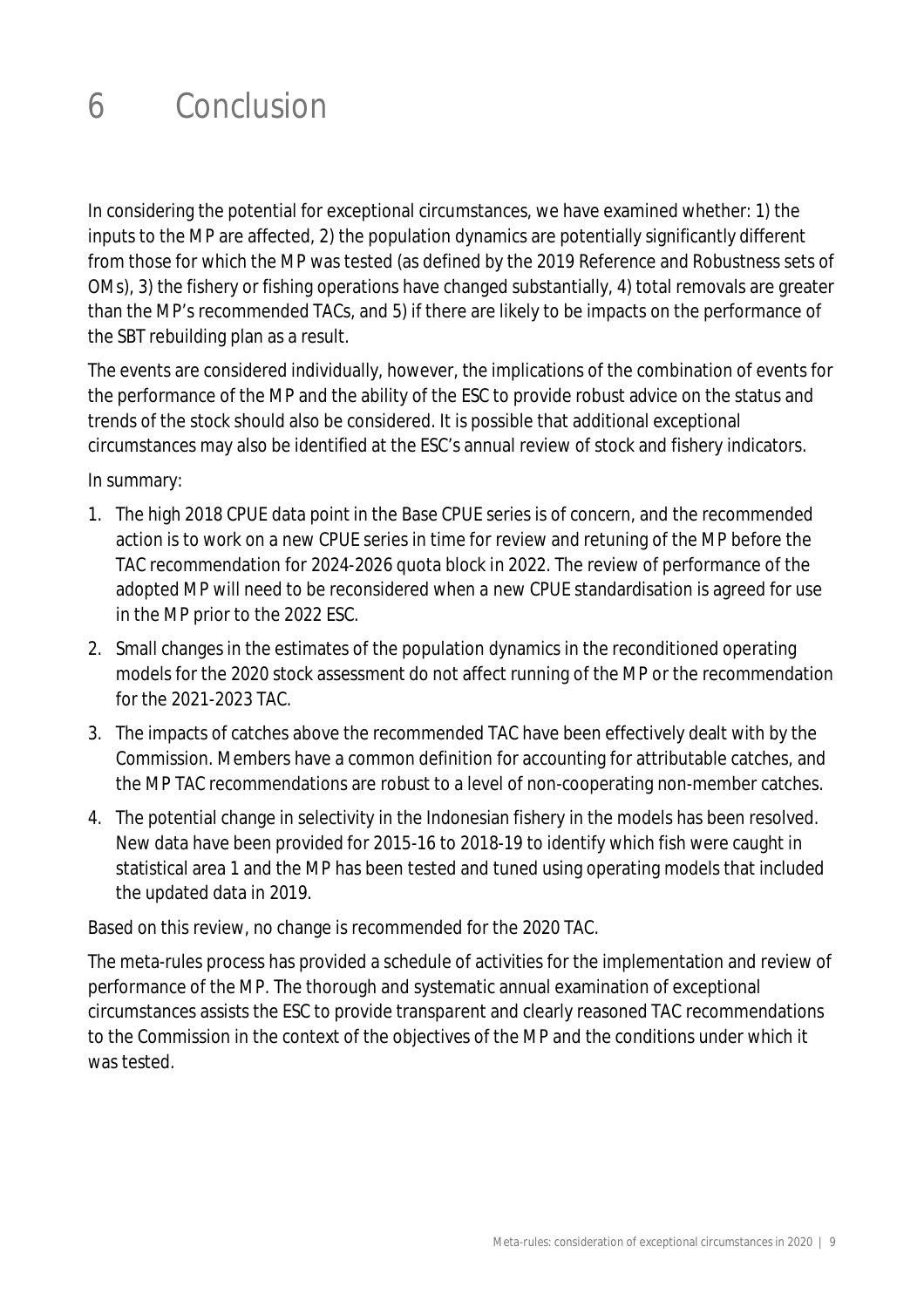## 6 Conclusion

In considering the potential for exceptional circumstances, we have examined whether: 1) the inputs to the MP are affected, 2) the population dynamics are potentially significantly different from those for which the MP was tested (as defined by the 2019 Reference and Robustness sets of OMs), 3) the fishery or fishing operations have changed substantially, 4) total removals are greater than the MP's recommended TACs, and 5) if there are likely to be impacts on the performance of the SBT rebuilding plan as a result.

The events are considered individually, however, the implications of the combination of events for the performance of the MP and the ability of the ESC to provide robust advice on the status and trends of the stock should also be considered. It is possible that additional exceptional circumstances may also be identified at the ESC's annual review of stock and fishery indicators.

In summary:

- 1. The high 2018 CPUE data point in the Base CPUE series is of concern, and the recommended action is to work on a new CPUE series in time for review and retuning of the MP before the TAC recommendation for 2024-2026 quota block in 2022. The review of performance of the adopted MP will need to be reconsidered when a new CPUE standardisation is agreed for use in the MP prior to the 2022 ESC.
- 2. Small changes in the estimates of the population dynamics in the reconditioned operating models for the 2020 stock assessment do not affect running of the MP or the recommendation for the 2021-2023 TAC.
- 3. The impacts of catches above the recommended TAC have been effectively dealt with by the Commission. Members have a common definition for accounting for attributable catches, and the MP TAC recommendations are robust to a level of non-cooperating non-member catches.
- 4. The potential change in selectivity in the Indonesian fishery in the models has been resolved. New data have been provided for 2015-16 to 2018-19 to identify which fish were caught in statistical area 1 and the MP has been tested and tuned using operating models that included the updated data in 2019.

Based on this review, no change is recommended for the 2020 TAC.

The meta-rules process has provided a schedule of activities for the implementation and review of performance of the MP. The thorough and systematic annual examination of exceptional circumstances assists the ESC to provide transparent and clearly reasoned TAC recommendations to the Commission in the context of the objectives of the MP and the conditions under which it was tested.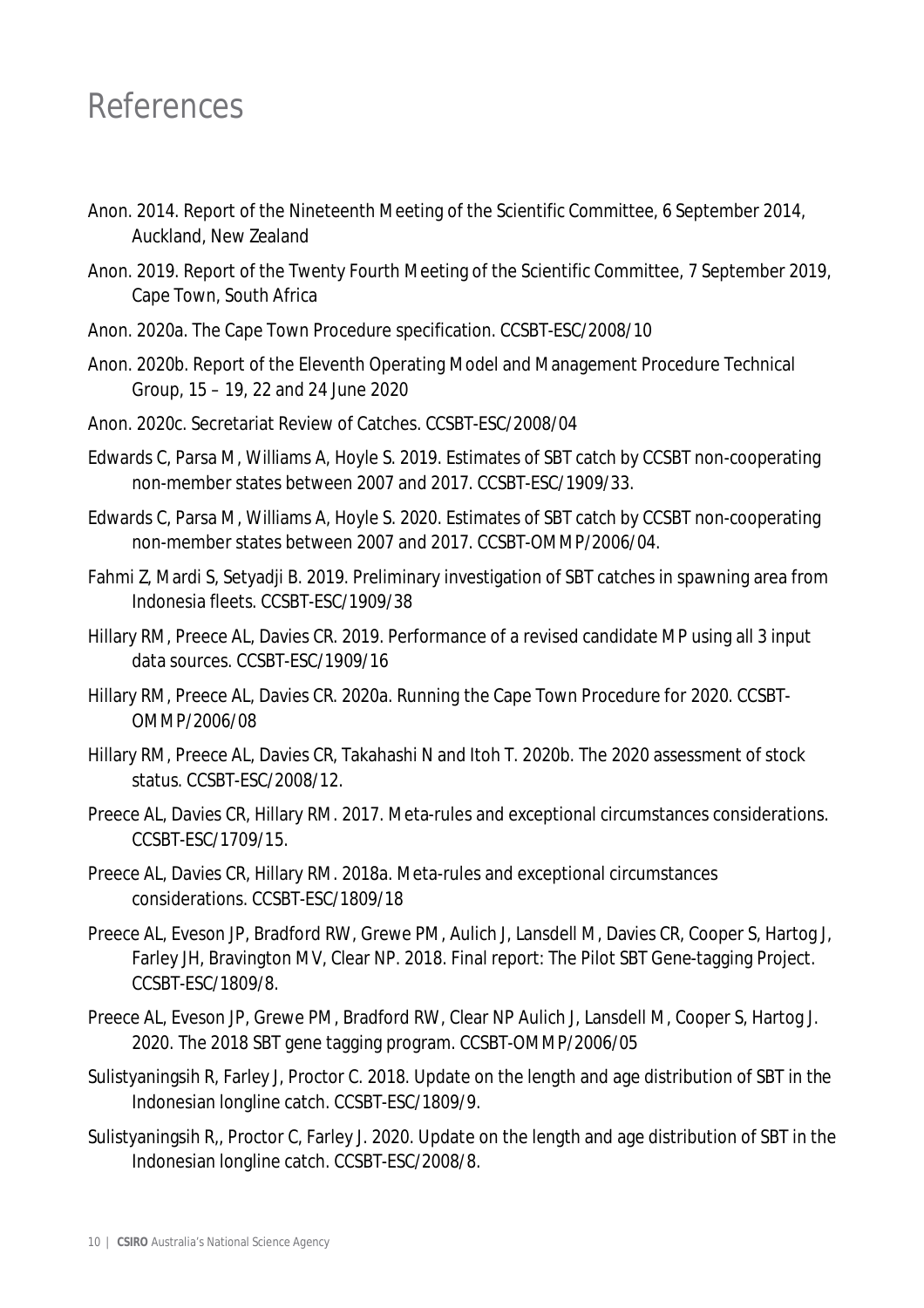### References

- Anon. 2014. Report of the Nineteenth Meeting of the Scientific Committee, 6 September 2014, Auckland, New Zealand
- Anon. 2019. Report of the Twenty Fourth Meeting of the Scientific Committee, 7 September 2019, Cape Town, South Africa
- Anon. 2020a. The Cape Town Procedure specification. CCSBT-ESC/2008/10
- Anon. 2020b. Report of the Eleventh Operating Model and Management Procedure Technical Group, 15 – 19, 22 and 24 June 2020
- Anon. 2020c. Secretariat Review of Catches. CCSBT-ESC/2008/04
- Edwards C, Parsa M, Williams A, Hoyle S. 2019. Estimates of SBT catch by CCSBT non-cooperating non-member states between 2007 and 2017. CCSBT-ESC/1909/33.
- Edwards C, Parsa M, Williams A, Hoyle S. 2020. Estimates of SBT catch by CCSBT non-cooperating non-member states between 2007 and 2017. CCSBT-OMMP/2006/04.
- Fahmi Z, Mardi S, Setyadji B. 2019. Preliminary investigation of SBT catches in spawning area from Indonesia fleets. CCSBT-ESC/1909/38
- Hillary RM, Preece AL, Davies CR. 2019. Performance of a revised candidate MP using all 3 input data sources. CCSBT-ESC/1909/16
- Hillary RM, Preece AL, Davies CR. 2020a. Running the Cape Town Procedure for 2020. CCSBT-OMMP/2006/08
- Hillary RM, Preece AL, Davies CR, Takahashi N and Itoh T. 2020b. The 2020 assessment of stock status. CCSBT-ESC/2008/12.
- Preece AL, Davies CR, Hillary RM. 2017. Meta-rules and exceptional circumstances considerations. CCSBT-ESC/1709/15.
- Preece AL, Davies CR, Hillary RM. 2018a. Meta-rules and exceptional circumstances considerations. CCSBT-ESC/1809/18
- Preece AL, Eveson JP, Bradford RW, Grewe PM, Aulich J, Lansdell M, Davies CR, Cooper S, Hartog J, Farley JH, Bravington MV, Clear NP. 2018. Final report: The Pilot SBT Gene-tagging Project. CCSBT-ESC/1809/8.
- Preece AL, Eveson JP, Grewe PM, Bradford RW, Clear NP Aulich J, Lansdell M, Cooper S, Hartog J. 2020. The 2018 SBT gene tagging program. CCSBT-OMMP/2006/05
- Sulistyaningsih R, Farley J, Proctor C. 2018. Update on the length and age distribution of SBT in the Indonesian longline catch. CCSBT-ESC/1809/9.
- Sulistyaningsih R,, Proctor C, Farley J. 2020. Update on the length and age distribution of SBT in the Indonesian longline catch. CCSBT-ESC/2008/8.